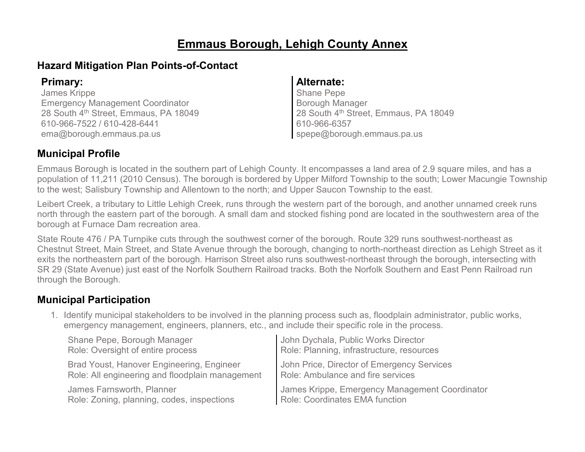# **Emmaus Borough, Lehigh County Annex**

## **Hazard Mitigation Plan Points-of-Contact**

James Krippe Emergency Management Coordinator 28 South 4<sup>th</sup> Street, Emmaus, PA 18049 610-966-7522 / 610-428-6441 ema@borough.emmaus.pa.us

#### **Primary: Alternate:**

Shane Pepe Borough Manager 28 South 4<sup>th</sup> Street, Emmaus, PA 18049 610-966-6357 spepe@borough.emmaus.pa.us

## **Municipal Profile**

Emmaus Borough is located in the southern part of Lehigh County. It encompasses a land area of 2.9 square miles, and has a population of 11,211 (2010 Census). The borough is bordered by Upper Milford Township to the south; Lower Macungie Township to the west; Salisbury Township and Allentown to the north; and Upper Saucon Township to the east.

Leibert Creek, a tributary to Little Lehigh Creek, runs through the western part of the borough, and another unnamed creek runs north through the eastern part of the borough. A small dam and stocked fishing pond are located in the southwestern area of the borough at Furnace Dam recreation area.

State Route 476 / PA Turnpike cuts through the southwest corner of the borough. Route 329 runs southwest-northeast as Chestnut Street, Main Street, and State Avenue through the borough, changing to north-northeast direction as Lehigh Street as it exits the northeastern part of the borough. Harrison Street also runs southwest-northeast through the borough, intersecting with SR 29 (State Avenue) just east of the Norfolk Southern Railroad tracks. Both the Norfolk Southern and East Penn Railroad run through the Borough.

## **Municipal Participation**

1. Identify municipal stakeholders to be involved in the planning process such as, floodplain administrator, public works, emergency management, engineers, planners, etc., and include their specific role in the process.

| Shane Pepe, Borough Manager                     | John Dychala, Public Works Director            |
|-------------------------------------------------|------------------------------------------------|
| Role: Oversight of entire process               | Role: Planning, infrastructure, resources      |
| Brad Youst, Hanover Engineering, Engineer       | John Price, Director of Emergency Services     |
| Role: All engineering and floodplain management | Role: Ambulance and fire services              |
| James Farnsworth, Planner                       | James Krippe, Emergency Management Coordinator |
| Role: Zoning, planning, codes, inspections      | Role: Coordinates EMA function                 |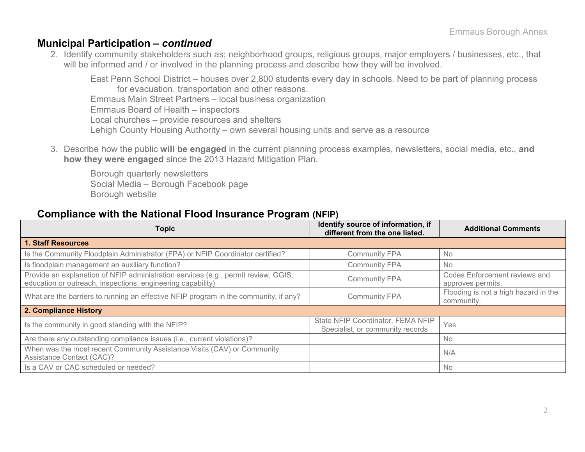#### **Municipal Participation –** *continued*

2. Identify community stakeholders such as; neighborhood groups, religious groups, major employers / businesses, etc., that will be informed and / or involved in the planning process and describe how they will be involved.

East Penn School District – houses over 2,800 students every day in schools. Need to be part of planning process for evacuation, transportation and other reasons. Emmaus Main Street Partners – local business organization Emmaus Board of Health – inspectors Local churches – provide resources and shelters Lehigh County Housing Authority – own several housing units and serve as a resource

3. Describe how the public **will be engaged** in the current planning process examples, newsletters, social media, etc., **and how they were engaged** since the 2013 Hazard Mitigation Plan.

Borough quarterly newsletters Social Media – Borough Facebook page Borough website

#### **Compliance with the National Flood Insurance Program (NFIP)**

| <b>Topic</b>                                                                                                                                      | Identify source of information, if<br>different from the one listed.  | <b>Additional Comments</b>                         |
|---------------------------------------------------------------------------------------------------------------------------------------------------|-----------------------------------------------------------------------|----------------------------------------------------|
| <b>1. Staff Resources</b>                                                                                                                         |                                                                       |                                                    |
| Is the Community Floodplain Administrator (FPA) or NFIP Coordinator certified?                                                                    | <b>Community FPA</b>                                                  | <b>No</b>                                          |
| Is floodplain management an auxiliary function?                                                                                                   | <b>Community FPA</b>                                                  | <b>No</b>                                          |
| Provide an explanation of NFIP administration services (e.g., permit review, GGIS,<br>education or outreach, inspections, engineering capability) | <b>Community FPA</b>                                                  | Codes Enforcement reviews and<br>approves permits. |
| What are the barriers to running an effective NFIP program in the community, if any?                                                              | <b>Community FPA</b>                                                  | Flooding is not a high hazard in the<br>community. |
| 2. Compliance History                                                                                                                             |                                                                       |                                                    |
| Is the community in good standing with the NFIP?                                                                                                  | State NFIP Coordinator, FEMA NFIP<br>Specialist, or community records | Yes                                                |
| Are there any outstanding compliance issues (i.e., current violations)?                                                                           |                                                                       | No.                                                |
| When was the most recent Community Assistance Visits (CAV) or Community<br><b>Assistance Contact (CAC)?</b>                                       |                                                                       | N/A                                                |
| Is a CAV or CAC scheduled or needed?                                                                                                              |                                                                       | <b>No</b>                                          |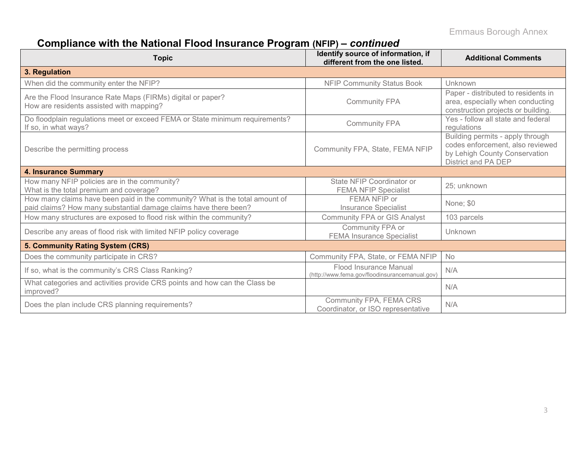# **Compliance with the National Flood Insurance Program (NFIP) –** *continued*

| <b>Topic</b>                                                                                                                                     | Identify source of information, if<br>different from the one listed.     | <b>Additional Comments</b>                                                                                                   |
|--------------------------------------------------------------------------------------------------------------------------------------------------|--------------------------------------------------------------------------|------------------------------------------------------------------------------------------------------------------------------|
| 3. Regulation                                                                                                                                    |                                                                          |                                                                                                                              |
| When did the community enter the NFIP?                                                                                                           | <b>NFIP Community Status Book</b>                                        | Unknown                                                                                                                      |
| Are the Flood Insurance Rate Maps (FIRMs) digital or paper?<br>How are residents assisted with mapping?                                          | <b>Community FPA</b>                                                     | Paper - distributed to residents in<br>area, especially when conducting<br>construction projects or building.                |
| Do floodplain regulations meet or exceed FEMA or State minimum requirements?<br>If so, in what ways?                                             | <b>Community FPA</b>                                                     | Yes - follow all state and federal<br>regulations                                                                            |
| Describe the permitting process                                                                                                                  | Community FPA, State, FEMA NFIP                                          | Building permits - apply through<br>codes enforcement, also reviewed<br>by Lehigh County Conservation<br>District and PA DEP |
| <b>4. Insurance Summary</b>                                                                                                                      |                                                                          |                                                                                                                              |
| How many NFIP policies are in the community?<br>What is the total premium and coverage?                                                          | State NFIP Coordinator or<br><b>FEMA NFIP Specialist</b>                 | 25; unknown                                                                                                                  |
| How many claims have been paid in the community? What is the total amount of<br>paid claims? How many substantial damage claims have there been? | FEMA NFIP or<br><b>Insurance Specialist</b>                              | None; \$0                                                                                                                    |
| How many structures are exposed to flood risk within the community?                                                                              | <b>Community FPA or GIS Analyst</b>                                      | 103 parcels                                                                                                                  |
| Describe any areas of flood risk with limited NFIP policy coverage                                                                               | Community FPA or<br><b>FEMA Insurance Specialist</b>                     | Unknown                                                                                                                      |
| 5. Community Rating System (CRS)                                                                                                                 |                                                                          |                                                                                                                              |
| Does the community participate in CRS?                                                                                                           | Community FPA, State, or FEMA NFIP                                       | No                                                                                                                           |
| If so, what is the community's CRS Class Ranking?                                                                                                | Flood Insurance Manual<br>(http://www.fema.gov/floodinsurancemanual.gov) | N/A                                                                                                                          |
| What categories and activities provide CRS points and how can the Class be<br>improved?                                                          |                                                                          | N/A                                                                                                                          |
| Does the plan include CRS planning requirements?                                                                                                 | Community FPA, FEMA CRS<br>Coordinator, or ISO representative            | N/A                                                                                                                          |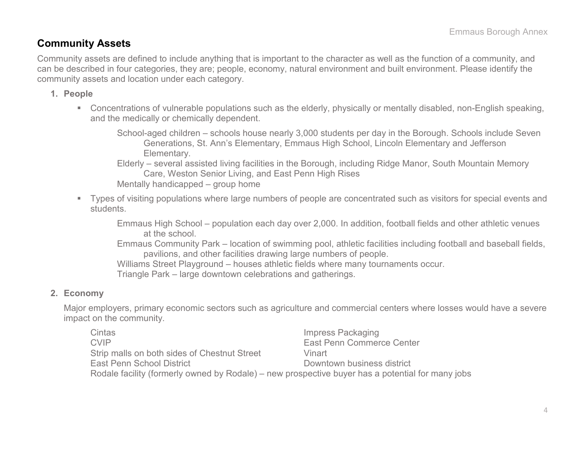### **Community Assets**

Community assets are defined to include anything that is important to the character as well as the function of a community, and can be described in four categories, they are; people, economy, natural environment and built environment. Please identify the community assets and location under each category.

- **1. People**
	- Concentrations of vulnerable populations such as the elderly, physically or mentally disabled, non-English speaking, and the medically or chemically dependent.

School-aged children – schools house nearly 3,000 students per day in the Borough. Schools include Seven Generations, St. Ann's Elementary, Emmaus High School, Lincoln Elementary and Jefferson Elementary.

Elderly – several assisted living facilities in the Borough, including Ridge Manor, South Mountain Memory Care, Weston Senior Living, and East Penn High Rises Mentally handicapped – group home

 Types of visiting populations where large numbers of people are concentrated such as visitors for special events and students.

Emmaus High School – population each day over 2,000. In addition, football fields and other athletic venues at the school.

Emmaus Community Park – location of swimming pool, athletic facilities including football and baseball fields, pavilions, and other facilities drawing large numbers of people.

Williams Street Playground – houses athletic fields where many tournaments occur.

Triangle Park – large downtown celebrations and gatherings.

#### **2. Economy**

Major employers, primary economic sectors such as agriculture and commercial centers where losses would have a severe impact on the community.

Cintas **Impress Packaging** CVIP East Penn Commerce Center Strip malls on both sides of Chestnut Street Vinart East Penn School District **East Penn School District** Rodale facility (formerly owned by Rodale) – new prospective buyer has a potential for many jobs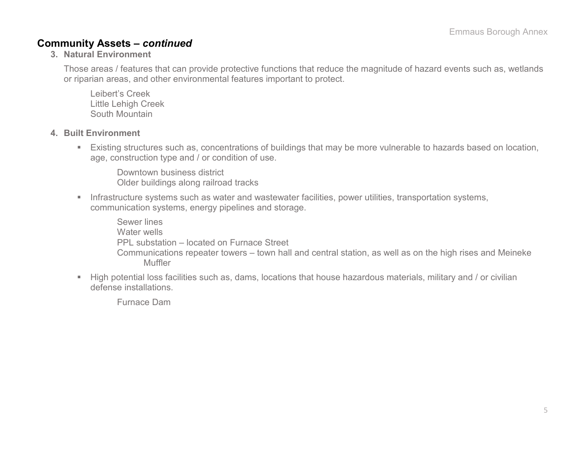#### **Community Assets –** *continued*

**3. Natural Environment**

Those areas / features that can provide protective functions that reduce the magnitude of hazard events such as, wetlands or riparian areas, and other environmental features important to protect.

Leibert's Creek Little Lehigh Creek South Mountain

- **4. Built Environment**
	- Existing structures such as, concentrations of buildings that may be more vulnerable to hazards based on location, age, construction type and / or condition of use.

Downtown business district Older buildings along railroad tracks

**Infrastructure systems such as water and wastewater facilities, power utilities, transportation systems,** communication systems, energy pipelines and storage.

Sewer lines Water wells PPL substation – located on Furnace Street Communications repeater towers – town hall and central station, as well as on the high rises and Meineke Muffler

 High potential loss facilities such as, dams, locations that house hazardous materials, military and / or civilian defense installations.

Furnace Dam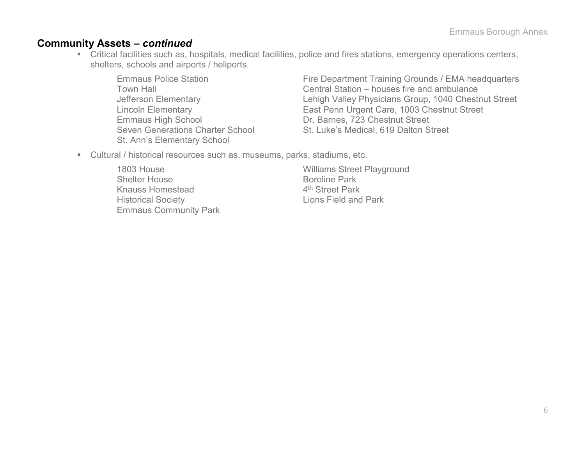#### **Community Assets –** *continued*

- Critical facilities such as, hospitals, medical facilities, police and fires stations, emergency operations centers, shelters, schools and airports / heliports.
	- Emmaus High School Dr. Barnes, 723 Chestnut Street St. Ann's Elementary School

Emmaus Police Station **Fire Department Training Grounds / EMA headquarters** Town Hall Central Station – houses fire and ambulance Jefferson Elementary Lehigh Valley Physicians Group, 1040 Chestnut Street Lincoln Elementary East Penn Urgent Care, 1003 Chestnut Street Seven Generations Charter School St. Luke's Medical, 619 Dalton Street

- Cultural / historical resources such as, museums, parks, stadiums, etc.
	- 1803 House Williams Street Playground Shelter House Boroline Park<br>
	Knauss Homestead Manuel A<sup>th</sup> Street Park Knauss Homestead Historical Society Lions Field and Park Emmaus Community Park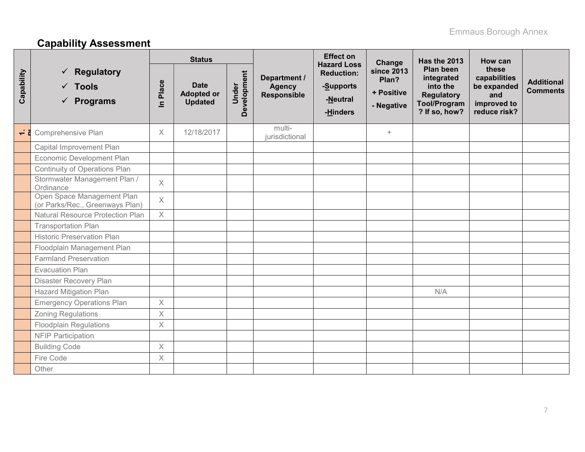# **Capability Assessment**

|            |                                                                        | <b>Status</b>         |                                                    |                      |                                                     | <b>Effect on</b><br><b>Hazard Loss</b>                 | Change                                                 | Has the 2013                                                                              | How can                                                                    |                                      |
|------------|------------------------------------------------------------------------|-----------------------|----------------------------------------------------|----------------------|-----------------------------------------------------|--------------------------------------------------------|--------------------------------------------------------|-------------------------------------------------------------------------------------------|----------------------------------------------------------------------------|--------------------------------------|
| Capability | $\checkmark$ Regulatory<br>$\checkmark$ Tools<br>$\checkmark$ Programs | Place<br>$\mathbf{a}$ | <b>Date</b><br><b>Adopted or</b><br><b>Updated</b> | Development<br>Under | Department /<br><b>Agency</b><br><b>Responsible</b> | <b>Reduction:</b><br>-Supports<br>-Neutral<br>-Hinders | <b>since 2013</b><br>Plan?<br>+ Positive<br>- Negative | Plan been<br>integrated<br>into the<br>Regulatory<br><b>Tool/Program</b><br>? If so, how? | these<br>capabilities<br>be expanded<br>and<br>improved to<br>reduce risk? | <b>Additional</b><br><b>Comments</b> |
|            | $\overrightarrow{c}$ Comprehensive Plan                                | $\chi$                | 12/18/2017                                         |                      | multi-<br>jurisdictional                            |                                                        | $+$                                                    |                                                                                           |                                                                            |                                      |
|            | Capital Improvement Plan                                               |                       |                                                    |                      |                                                     |                                                        |                                                        |                                                                                           |                                                                            |                                      |
|            | Economic Development Plan                                              |                       |                                                    |                      |                                                     |                                                        |                                                        |                                                                                           |                                                                            |                                      |
|            | Continuity of Operations Plan                                          |                       |                                                    |                      |                                                     |                                                        |                                                        |                                                                                           |                                                                            |                                      |
|            | Stormwater Management Plan /<br>Ordinance                              | $\times$              |                                                    |                      |                                                     |                                                        |                                                        |                                                                                           |                                                                            |                                      |
|            | Open Space Management Plan<br>(or Parks/Rec., Greenways Plan)          | $\times$              |                                                    |                      |                                                     |                                                        |                                                        |                                                                                           |                                                                            |                                      |
|            | <b>Natural Resource Protection Plan</b>                                | $\times$              |                                                    |                      |                                                     |                                                        |                                                        |                                                                                           |                                                                            |                                      |
|            | <b>Transportation Plan</b>                                             |                       |                                                    |                      |                                                     |                                                        |                                                        |                                                                                           |                                                                            |                                      |
|            | <b>Historic Preservation Plan</b>                                      |                       |                                                    |                      |                                                     |                                                        |                                                        |                                                                                           |                                                                            |                                      |
|            | Floodplain Management Plan                                             |                       |                                                    |                      |                                                     |                                                        |                                                        |                                                                                           |                                                                            |                                      |
|            | <b>Farmland Preservation</b>                                           |                       |                                                    |                      |                                                     |                                                        |                                                        |                                                                                           |                                                                            |                                      |
|            | <b>Evacuation Plan</b>                                                 |                       |                                                    |                      |                                                     |                                                        |                                                        |                                                                                           |                                                                            |                                      |
|            | <b>Disaster Recovery Plan</b>                                          |                       |                                                    |                      |                                                     |                                                        |                                                        |                                                                                           |                                                                            |                                      |
|            | <b>Hazard Mitigation Plan</b>                                          |                       |                                                    |                      |                                                     |                                                        |                                                        | N/A                                                                                       |                                                                            |                                      |
|            | <b>Emergency Operations Plan</b>                                       | $\boldsymbol{\times}$ |                                                    |                      |                                                     |                                                        |                                                        |                                                                                           |                                                                            |                                      |
|            | <b>Zoning Regulations</b>                                              | $\sf X$               |                                                    |                      |                                                     |                                                        |                                                        |                                                                                           |                                                                            |                                      |
|            | <b>Floodplain Regulations</b>                                          | $\times$              |                                                    |                      |                                                     |                                                        |                                                        |                                                                                           |                                                                            |                                      |
|            | <b>NFIP Participation</b>                                              |                       |                                                    |                      |                                                     |                                                        |                                                        |                                                                                           |                                                                            |                                      |
|            | <b>Building Code</b>                                                   | $\times$              |                                                    |                      |                                                     |                                                        |                                                        |                                                                                           |                                                                            |                                      |
|            | Fire Code                                                              | $\boldsymbol{\times}$ |                                                    |                      |                                                     |                                                        |                                                        |                                                                                           |                                                                            |                                      |
|            | Other                                                                  |                       |                                                    |                      |                                                     |                                                        |                                                        |                                                                                           |                                                                            |                                      |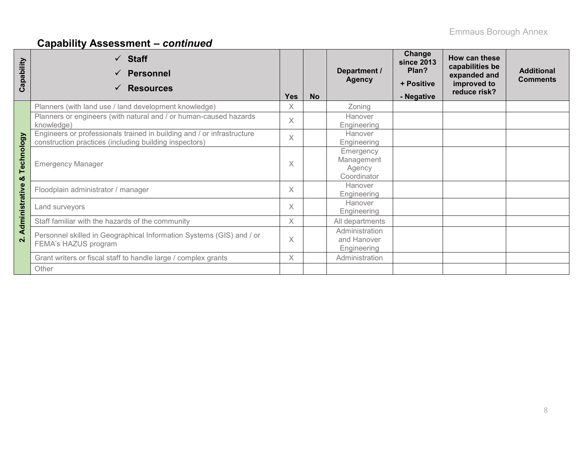# **Capability Assessment –** *continued*

| Capability              | $\checkmark$ Staff<br><b>Personnel</b><br><b>Resources</b>                                                                       | <b>Yes</b> | <b>No</b> | Department /<br><b>Agency</b>                    | Change<br><b>since 2013</b><br>Plan?<br>+ Positive<br>- Negative | How can these<br>capabilities be<br>expanded and<br>improved to<br>reduce risk? | <b>Additional</b><br><b>Comments</b> |
|-------------------------|----------------------------------------------------------------------------------------------------------------------------------|------------|-----------|--------------------------------------------------|------------------------------------------------------------------|---------------------------------------------------------------------------------|--------------------------------------|
|                         | Planners (with land use / land development knowledge)                                                                            | X          |           | Zoning                                           |                                                                  |                                                                                 |                                      |
|                         | Planners or engineers (with natural and / or human-caused hazards<br>knowledge)                                                  | $\times$   |           | Hanover<br>Engineering                           |                                                                  |                                                                                 |                                      |
|                         | Engineers or professionals trained in building and / or infrastructure<br>construction practices (including building inspectors) | $\times$   |           | Hanover<br>Engineering                           |                                                                  |                                                                                 |                                      |
| Technology<br>ఱ         | <b>Emergency Manager</b>                                                                                                         | X          |           | Emergency<br>Management<br>Agency<br>Coordinator |                                                                  |                                                                                 |                                      |
|                         | Floodplain administrator / manager                                                                                               | $\times$   |           | Hanover<br>Engineering                           |                                                                  |                                                                                 |                                      |
| dministrative           | Land surveyors                                                                                                                   | $\times$   |           | Hanover<br>Engineering                           |                                                                  |                                                                                 |                                      |
|                         | Staff familiar with the hazards of the community                                                                                 | X          |           | All departments                                  |                                                                  |                                                                                 |                                      |
| ⋖<br>$\dot{\mathbf{r}}$ | Personnel skilled in Geographical Information Systems (GIS) and / or<br>FEMA's HAZUS program                                     | X          |           | Administration<br>and Hanover<br>Engineering     |                                                                  |                                                                                 |                                      |
|                         | Grant writers or fiscal staff to handle large / complex grants                                                                   | $\times$   |           | Administration                                   |                                                                  |                                                                                 |                                      |
|                         | Other                                                                                                                            |            |           |                                                  |                                                                  |                                                                                 |                                      |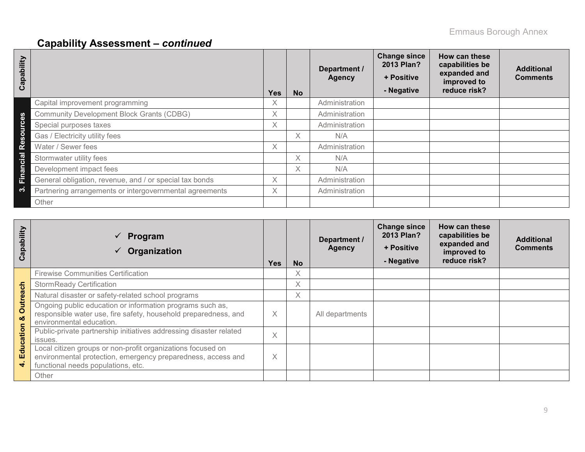# **Capability Assessment –** *continued*

| Capability                         |                                                         | Yes      | <b>No</b> | Department /<br><b>Agency</b> | <b>Change since</b><br>2013 Plan?<br>+ Positive<br>- Negative | How can these<br>capabilities be<br>expanded and<br>improved to<br>reduce risk? | <b>Additional</b><br><b>Comments</b> |
|------------------------------------|---------------------------------------------------------|----------|-----------|-------------------------------|---------------------------------------------------------------|---------------------------------------------------------------------------------|--------------------------------------|
|                                    | Capital improvement programming                         | X.       |           | Administration                |                                                               |                                                                                 |                                      |
| $\boldsymbol{\omega}$              | <b>Community Development Block Grants (CDBG)</b>        | $\times$ |           | Administration                |                                                               |                                                                                 |                                      |
| $\mathbf{C}$<br>ã                  | Special purposes taxes                                  | X.       |           | Administration                |                                                               |                                                                                 |                                      |
| $\Omega$<br>$\boldsymbol{\omega}$  | Gas / Electricity utility fees                          |          | Χ         | N/A                           |                                                               |                                                                                 |                                      |
| $\mathbf{R}^{\boldsymbol{\Theta}}$ | Water / Sewer fees                                      | X.       |           | Administration                |                                                               |                                                                                 |                                      |
| cial                               | Stormwater utility fees                                 |          | X.        | N/A                           |                                                               |                                                                                 |                                      |
|                                    | Development impact fees                                 |          | X         | N/A                           |                                                               |                                                                                 |                                      |
| Eina                               | General obligation, revenue, and / or special tax bonds | X.       |           | Administration                |                                                               |                                                                                 |                                      |
| က                                  | Partnering arrangements or intergovernmental agreements | X.       |           | Administration                |                                                               |                                                                                 |                                      |
|                                    | Other                                                   |          |           |                               |                                                               |                                                                                 |                                      |

| Capability           | Program<br>$\checkmark$<br>Organization                                                                                                                           | <b>Yes</b> | <b>No</b> | Department /<br><b>Agency</b> | <b>Change since</b><br>2013 Plan?<br>+ Positive<br>- Negative | How can these<br>capabilities be<br>expanded and<br>improved to<br>reduce risk? | <b>Additional</b><br><b>Comments</b> |
|----------------------|-------------------------------------------------------------------------------------------------------------------------------------------------------------------|------------|-----------|-------------------------------|---------------------------------------------------------------|---------------------------------------------------------------------------------|--------------------------------------|
|                      | <b>Firewise Communities Certification</b>                                                                                                                         |            | Χ         |                               |                                                               |                                                                                 |                                      |
|                      | <b>StormReady Certification</b>                                                                                                                                   |            | Χ         |                               |                                                               |                                                                                 |                                      |
|                      | Natural disaster or safety-related school programs                                                                                                                |            | Χ         |                               |                                                               |                                                                                 |                                      |
| <b>Outreach</b><br>ಯ | Ongoing public education or information programs such as,<br>responsible water use, fire safety, household preparedness, and<br>environmental education.          | X          |           | All departments               |                                                               |                                                                                 |                                      |
|                      | Public-private partnership initiatives addressing disaster related<br>issues.                                                                                     | X          |           |                               |                                                               |                                                                                 |                                      |
| Education            | Local citizen groups or non-profit organizations focused on<br>environmental protection, emergency preparedness, access and<br>functional needs populations, etc. | X          |           |                               |                                                               |                                                                                 |                                      |
|                      | Other                                                                                                                                                             |            |           |                               |                                                               |                                                                                 |                                      |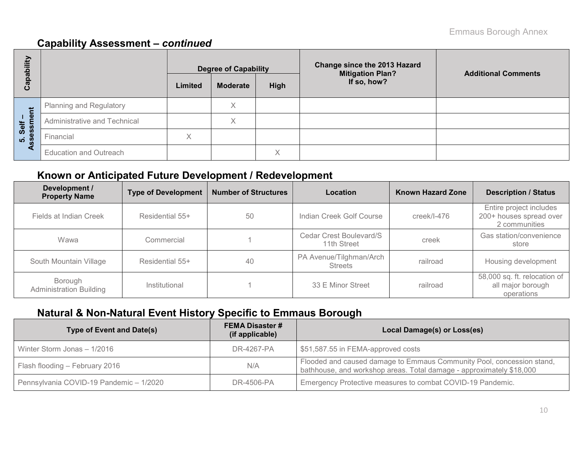## **Capability Assessment –** *continued*

| Capability             |                               |         | <b>Degree of Capability</b> |                   | Change since the 2013 Hazard<br><b>Mitigation Plan?</b> | <b>Additional Comments</b> |
|------------------------|-------------------------------|---------|-----------------------------|-------------------|---------------------------------------------------------|----------------------------|
|                        |                               | Limited | <b>Moderate</b>             | High              | If so, how?                                             |                            |
|                        | Planning and Regulatory       |         | Χ                           |                   |                                                         |                            |
| 5. Self –<br>ssessment | Administrative and Technical  |         | $\checkmark$<br>∧           |                   |                                                         |                            |
|                        | Financial                     | Χ       |                             |                   |                                                         |                            |
| ৼ                      | <b>Education and Outreach</b> |         |                             | $\checkmark$<br>⌒ |                                                         |                            |

## **Known or Anticipated Future Development / Redevelopment**

| Development /<br><b>Property Name</b>     | <b>Type of Development</b> | <b>Number of Structures</b> | Location                                  | <b>Known Hazard Zone</b> | <b>Description / Status</b>                                         |
|-------------------------------------------|----------------------------|-----------------------------|-------------------------------------------|--------------------------|---------------------------------------------------------------------|
| Fields at Indian Creek                    | Residential 55+            | 50                          | Indian Creek Golf Course                  | $creek/l-476$            | Entire project includes<br>200+ houses spread over<br>2 communities |
| Wawa                                      | Commercial                 |                             | Cedar Crest Boulevard/S<br>11th Street    | creek                    | Gas station/convenience<br>store                                    |
| South Mountain Village                    | Residential 55+            |                             | PA Avenue/Tilghman/Arch<br><b>Streets</b> | railroad                 | Housing development                                                 |
| Borough<br><b>Administration Building</b> | Institutional              |                             | 33 E Minor Street                         | railroad                 | 58,000 sq. ft. relocation of<br>all major borough<br>operations     |

## **Natural & Non-Natural Event History Specific to Emmaus Borough**

| Type of Event and Date(s)               | <b>FEMA Disaster #</b><br>(if applicable) | Local Damage(s) or Loss(es)                                                                                                                   |
|-----------------------------------------|-------------------------------------------|-----------------------------------------------------------------------------------------------------------------------------------------------|
| Winter Storm Jonas - 1/2016             | DR-4267-PA                                | \$51,587.55 in FEMA-approved costs                                                                                                            |
| Flash flooding - February 2016          | N/A                                       | Flooded and caused damage to Emmaus Community Pool, concession stand,<br>bathhouse, and workshop areas. Total damage - approximately \$18,000 |
| Pennsylvania COVID-19 Pandemic - 1/2020 | DR-4506-PA                                | Emergency Protective measures to combat COVID-19 Pandemic.                                                                                    |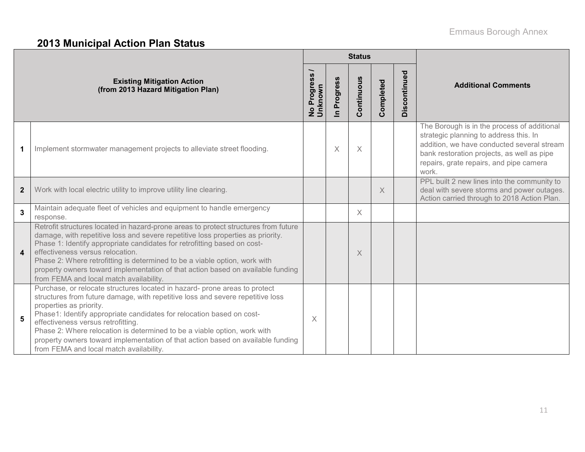# **2013 Municipal Action Plan Status**

|                         |                                                                                                                                                                                                                                                                                                                                                                                                                                                                                                                  |                                                 |                      | <b>Status</b> |           |              |                                                                                                                                                                                                                                       |
|-------------------------|------------------------------------------------------------------------------------------------------------------------------------------------------------------------------------------------------------------------------------------------------------------------------------------------------------------------------------------------------------------------------------------------------------------------------------------------------------------------------------------------------------------|-------------------------------------------------|----------------------|---------------|-----------|--------------|---------------------------------------------------------------------------------------------------------------------------------------------------------------------------------------------------------------------------------------|
|                         | <b>Existing Mitigation Action</b><br>(from 2013 Hazard Mitigation Plan)                                                                                                                                                                                                                                                                                                                                                                                                                                          | $\boldsymbol{\omega}$<br>No Progress<br>Unknown | Progress<br>$\equiv$ | Continuous    | Completed | Discontinued | <b>Additional Comments</b>                                                                                                                                                                                                            |
|                         | Implement stormwater management projects to alleviate street flooding.                                                                                                                                                                                                                                                                                                                                                                                                                                           |                                                 | X                    | X             |           |              | The Borough is in the process of additional<br>strategic planning to address this. In<br>addition, we have conducted several stream<br>bank restoration projects, as well as pipe<br>repairs, grate repairs, and pipe camera<br>work. |
| $\overline{2}$          | Work with local electric utility to improve utility line clearing.                                                                                                                                                                                                                                                                                                                                                                                                                                               |                                                 |                      |               | $\times$  |              | PPL built 2 new lines into the community to<br>deal with severe storms and power outages.<br>Action carried through to 2018 Action Plan.                                                                                              |
| $\mathbf{3}$            | Maintain adequate fleet of vehicles and equipment to handle emergency<br>response.                                                                                                                                                                                                                                                                                                                                                                                                                               |                                                 |                      | $\times$      |           |              |                                                                                                                                                                                                                                       |
| $\overline{\mathbf{4}}$ | Retrofit structures located in hazard-prone areas to protect structures from future<br>damage, with repetitive loss and severe repetitive loss properties as priority.<br>Phase 1: Identify appropriate candidates for retrofitting based on cost-<br>effectiveness versus relocation.<br>Phase 2: Where retrofitting is determined to be a viable option, work with<br>property owners toward implementation of that action based on available funding<br>from FEMA and local match availability.               |                                                 |                      | X             |           |              |                                                                                                                                                                                                                                       |
| 5                       | Purchase, or relocate structures located in hazard- prone areas to protect<br>structures from future damage, with repetitive loss and severe repetitive loss<br>properties as priority.<br>Phase1: Identify appropriate candidates for relocation based on cost-<br>effectiveness versus retrofitting.<br>Phase 2: Where relocation is determined to be a viable option, work with<br>property owners toward implementation of that action based on available funding<br>from FEMA and local match availability. | X                                               |                      |               |           |              |                                                                                                                                                                                                                                       |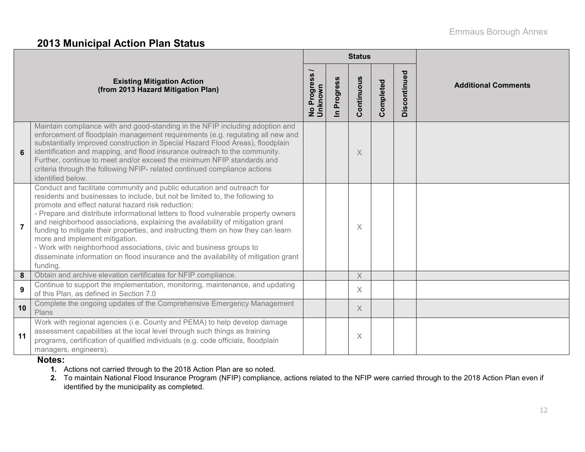### **2013 Municipal Action Plan Status**

|                |                                                                                                                                                                                                                                                                                                                                                                                                                                                                                                                                                                                                                                                                                     |                        |                      | <b>Status</b>         |           |              |                            |
|----------------|-------------------------------------------------------------------------------------------------------------------------------------------------------------------------------------------------------------------------------------------------------------------------------------------------------------------------------------------------------------------------------------------------------------------------------------------------------------------------------------------------------------------------------------------------------------------------------------------------------------------------------------------------------------------------------------|------------------------|----------------------|-----------------------|-----------|--------------|----------------------------|
|                | <b>Existing Mitigation Action</b><br>(from 2013 Hazard Mitigation Plan)                                                                                                                                                                                                                                                                                                                                                                                                                                                                                                                                                                                                             | No Progress<br>Unknown | Progress<br>$\equiv$ | Continuous            | Completed | Discontinued | <b>Additional Comments</b> |
| 6              | Maintain compliance with and good-standing in the NFIP including adoption and<br>enforcement of floodplain management requirements (e.g. regulating all new and<br>substantially improved construction in Special Hazard Flood Areas), floodplain<br>identification and mapping, and flood insurance outreach to the community.<br>Further, continue to meet and/or exceed the minimum NFIP standards and<br>criteria through the following NFIP- related continued compliance actions<br>identified below.                                                                                                                                                                         |                        |                      | $\times$              |           |              |                            |
| $\overline{7}$ | Conduct and facilitate community and public education and outreach for<br>residents and businesses to include, but not be limited to, the following to<br>promote and effect natural hazard risk reduction:<br>- Prepare and distribute informational letters to flood vulnerable property owners<br>and neighborhood associations, explaining the availability of mitigation grant<br>funding to mitigate their properties, and instructing them on how they can learn<br>more and implement mitigation.<br>- Work with neighborhood associations, civic and business groups to<br>disseminate information on flood insurance and the availability of mitigation grant<br>funding. |                        |                      | $\times$              |           |              |                            |
| 8              | Obtain and archive elevation certificates for NFIP compliance.                                                                                                                                                                                                                                                                                                                                                                                                                                                                                                                                                                                                                      |                        |                      | $\times$              |           |              |                            |
| 9              | Continue to support the implementation, monitoring, maintenance, and updating<br>of this Plan, as defined in Section 7.0                                                                                                                                                                                                                                                                                                                                                                                                                                                                                                                                                            |                        |                      | $\times$              |           |              |                            |
| 10             | Complete the ongoing updates of the Comprehensive Emergency Management<br>Plans                                                                                                                                                                                                                                                                                                                                                                                                                                                                                                                                                                                                     |                        |                      | $\boldsymbol{\times}$ |           |              |                            |
| 11             | Work with regional agencies (i.e. County and PEMA) to help develop damage<br>assessment capabilities at the local level through such things as training<br>programs, certification of qualified individuals (e.g. code officials, floodplain<br>managers, engineers).                                                                                                                                                                                                                                                                                                                                                                                                               |                        |                      | $\times$              |           |              |                            |

#### **Notes:**

- **1.** Actions not carried through to the 2018 Action Plan are so noted.
- **2.** To maintain National Flood Insurance Program (NFIP) compliance, actions related to the NFIP were carried through to the 2018 Action Plan even if identified by the municipality as completed.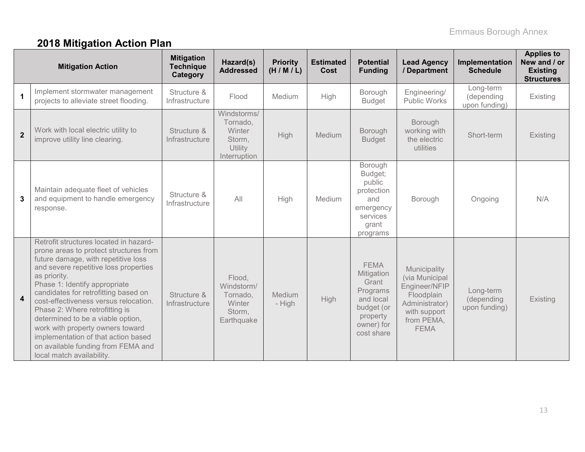# **2018 Mitigation Action Plan**

|                | <b>Mitigation Action</b>                                                                                                                                                                                                                                                                                                                                                                                                                                                                                                | <b>Mitigation</b><br><b>Technique</b><br>Category | Hazard(s)<br><b>Addressed</b>                                             | <b>Priority</b><br>(H/M/L) | <b>Estimated</b><br>Cost | <b>Potential</b><br><b>Funding</b>                                                                                | <b>Lead Agency</b><br>/ Department                                                                                           | Implementation<br><b>Schedule</b>        | <b>Applies to</b><br>New and / or<br><b>Existing</b><br><b>Structures</b> |
|----------------|-------------------------------------------------------------------------------------------------------------------------------------------------------------------------------------------------------------------------------------------------------------------------------------------------------------------------------------------------------------------------------------------------------------------------------------------------------------------------------------------------------------------------|---------------------------------------------------|---------------------------------------------------------------------------|----------------------------|--------------------------|-------------------------------------------------------------------------------------------------------------------|------------------------------------------------------------------------------------------------------------------------------|------------------------------------------|---------------------------------------------------------------------------|
|                | Implement stormwater management<br>projects to alleviate street flooding.                                                                                                                                                                                                                                                                                                                                                                                                                                               | Structure &<br>Infrastructure                     | Flood                                                                     | Medium                     | High                     | Borough<br><b>Budget</b>                                                                                          | Engineering/<br>Public Works                                                                                                 | Long-term<br>(depending<br>upon funding) | Existing                                                                  |
| $\overline{2}$ | Work with local electric utility to<br>improve utility line clearing.                                                                                                                                                                                                                                                                                                                                                                                                                                                   | Structure &<br>Infrastructure                     | Windstorms/<br>Tornado,<br>Winter<br>Storm,<br>Utility<br>Interruption    | High                       | Medium                   | Borough<br><b>Budget</b>                                                                                          | Borough<br>working with<br>the electric<br>utilities                                                                         | Short-term                               | Existing                                                                  |
| 3              | Maintain adequate fleet of vehicles<br>and equipment to handle emergency<br>response.                                                                                                                                                                                                                                                                                                                                                                                                                                   | Structure &<br>Infrastructure                     | All                                                                       | High                       | Medium                   | Borough<br>Budget;<br>public<br>protection<br>and<br>emergency<br>services<br>grant<br>programs                   | Borough                                                                                                                      | Ongoing                                  | N/A                                                                       |
| $\overline{4}$ | Retrofit structures located in hazard-<br>prone areas to protect structures from<br>future damage, with repetitive loss<br>and severe repetitive loss properties<br>as priority.<br>Phase 1: Identify appropriate<br>candidates for retrofitting based on<br>cost-effectiveness versus relocation.<br>Phase 2: Where retrofitting is<br>determined to be a viable option,<br>work with property owners toward<br>implementation of that action based<br>on available funding from FEMA and<br>local match availability. | Structure &<br>Infrastructure                     | Flood,<br>Windstorm/<br>Tornado,<br><b>Winter</b><br>Storm,<br>Earthquake | Medium<br>- High           | <b>High</b>              | <b>FEMA</b><br>Mitigation<br>Grant<br>Programs<br>and local<br>budget (or<br>property<br>owner) for<br>cost share | Municipality<br>(via Municipal<br>Engineer/NFIP<br>Floodplain<br>Administrator)<br>with support<br>from PEMA,<br><b>FEMA</b> | Long-term<br>(depending<br>upon funding) | Existing                                                                  |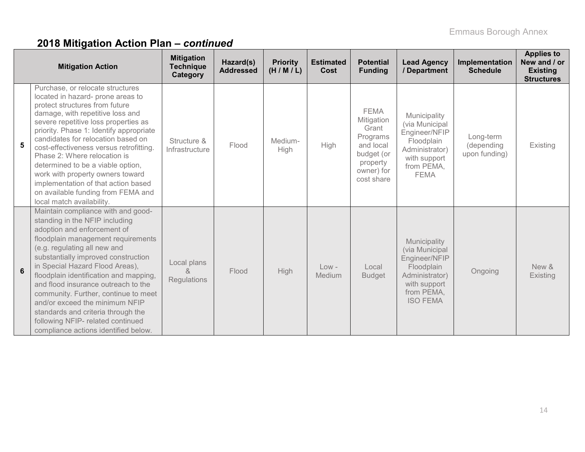# **2018 Mitigation Action Plan –** *continued*

|   | <b>Mitigation Action</b>                                                                                                                                                                                                                                                                                                                                                                                                                                                                                                           | <b>Mitigation</b><br><b>Technique</b><br>Category | Hazard(s)<br><b>Addressed</b> | <b>Priority</b><br>(H/M/L) | <b>Estimated</b><br>Cost | <b>Potential</b><br><b>Funding</b>                                                                                | <b>Lead Agency</b><br>/ Department                                                                                               | Implementation<br><b>Schedule</b>        | <b>Applies to</b><br>New and / or<br><b>Existing</b><br><b>Structures</b> |
|---|------------------------------------------------------------------------------------------------------------------------------------------------------------------------------------------------------------------------------------------------------------------------------------------------------------------------------------------------------------------------------------------------------------------------------------------------------------------------------------------------------------------------------------|---------------------------------------------------|-------------------------------|----------------------------|--------------------------|-------------------------------------------------------------------------------------------------------------------|----------------------------------------------------------------------------------------------------------------------------------|------------------------------------------|---------------------------------------------------------------------------|
| 5 | Purchase, or relocate structures<br>located in hazard- prone areas to<br>protect structures from future<br>damage, with repetitive loss and<br>severe repetitive loss properties as<br>priority. Phase 1: Identify appropriate<br>candidates for relocation based on<br>cost-effectiveness versus retrofitting.<br>Phase 2: Where relocation is<br>determined to be a viable option,<br>work with property owners toward<br>implementation of that action based<br>on available funding from FEMA and<br>local match availability. | Structure &<br>Infrastructure                     | Flood                         | Medium-<br>High            | High                     | <b>FEMA</b><br>Mitigation<br>Grant<br>Programs<br>and local<br>budget (or<br>property<br>owner) for<br>cost share | Municipality<br>(via Municipal<br>Engineer/NFIP<br>Floodplain<br>Administrator)<br>with support<br>from PEMA,<br><b>FEMA</b>     | Long-term<br>(depending<br>upon funding) | Existing                                                                  |
| 6 | Maintain compliance with and good-<br>standing in the NFIP including<br>adoption and enforcement of<br>floodplain management requirements<br>(e.g. regulating all new and<br>substantially improved construction<br>in Special Hazard Flood Areas),<br>floodplain identification and mapping,<br>and flood insurance outreach to the<br>community. Further, continue to meet<br>and/or exceed the minimum NFIP<br>standards and criteria through the<br>following NFIP- related continued<br>compliance actions identified below.  | Local plans<br>&<br>Regulations                   | Flood                         | High                       | $Low -$<br>Medium        | Local<br><b>Budget</b>                                                                                            | Municipality<br>(via Municipal<br>Engineer/NFIP<br>Floodplain<br>Administrator)<br>with support<br>from PEMA,<br><b>ISO FEMA</b> | Ongoing                                  | New &<br>Existing                                                         |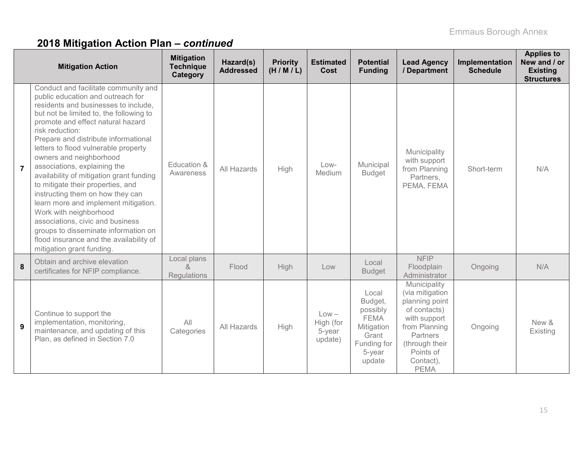# **2018 Mitigation Action Plan –** *continued*

|                | <b>Mitigation Action</b>                                                                                                                                                                                                                                                                                                                                                                                                                                                                                                                                                                                                                                                                                   | <b>Mitigation</b><br><b>Technique</b><br>Category | Hazard(s)<br><b>Addressed</b> | <b>Priority</b><br>(H/M/L) | <b>Estimated</b><br>Cost                  | <b>Potential</b><br><b>Funding</b>                                                                    | <b>Lead Agency</b><br>/ Department                                                                                                                                        | Implementation<br><b>Schedule</b> | <b>Applies to</b><br>New and / or<br><b>Existing</b><br><b>Structures</b> |
|----------------|------------------------------------------------------------------------------------------------------------------------------------------------------------------------------------------------------------------------------------------------------------------------------------------------------------------------------------------------------------------------------------------------------------------------------------------------------------------------------------------------------------------------------------------------------------------------------------------------------------------------------------------------------------------------------------------------------------|---------------------------------------------------|-------------------------------|----------------------------|-------------------------------------------|-------------------------------------------------------------------------------------------------------|---------------------------------------------------------------------------------------------------------------------------------------------------------------------------|-----------------------------------|---------------------------------------------------------------------------|
| $\overline{7}$ | Conduct and facilitate community and<br>public education and outreach for<br>residents and businesses to include,<br>but not be limited to, the following to<br>promote and effect natural hazard<br>risk reduction:<br>Prepare and distribute informational<br>letters to flood vulnerable property<br>owners and neighborhood<br>associations, explaining the<br>availability of mitigation grant funding<br>to mitigate their properties, and<br>instructing them on how they can<br>learn more and implement mitigation.<br>Work with neighborhood<br>associations, civic and business<br>groups to disseminate information on<br>flood insurance and the availability of<br>mitigation grant funding. | Education &<br>Awareness                          | All Hazards                   | High                       | $Low-$<br>Medium                          | Municipal<br><b>Budget</b>                                                                            | Municipality<br>with support<br>from Planning<br>Partners,<br>PEMA, FEMA                                                                                                  | Short-term                        | N/A                                                                       |
| 8              | Obtain and archive elevation<br>certificates for NFIP compliance.                                                                                                                                                                                                                                                                                                                                                                                                                                                                                                                                                                                                                                          | Local plans<br>$\alpha$<br>Regulations            | Flood                         | High                       | Low                                       | Local<br><b>Budget</b>                                                                                | <b>NFIP</b><br>Floodplain<br>Administrator                                                                                                                                | Ongoing                           | N/A                                                                       |
| 9              | Continue to support the<br>implementation, monitoring,<br>maintenance, and updating of this<br>Plan, as defined in Section 7.0                                                                                                                                                                                                                                                                                                                                                                                                                                                                                                                                                                             | All<br>Categories                                 | All Hazards                   | High                       | $Low -$<br>High (for<br>5-year<br>update) | Local<br>Budget,<br>possibly<br><b>FEMA</b><br>Mitigation<br>Grant<br>Funding for<br>5-year<br>update | Municipality<br>(via mitigation<br>planning point<br>of contacts)<br>with support<br>from Planning<br>Partners<br>(through their<br>Points of<br>Contact),<br><b>PEMA</b> | Ongoing                           | New &<br>Existing                                                         |